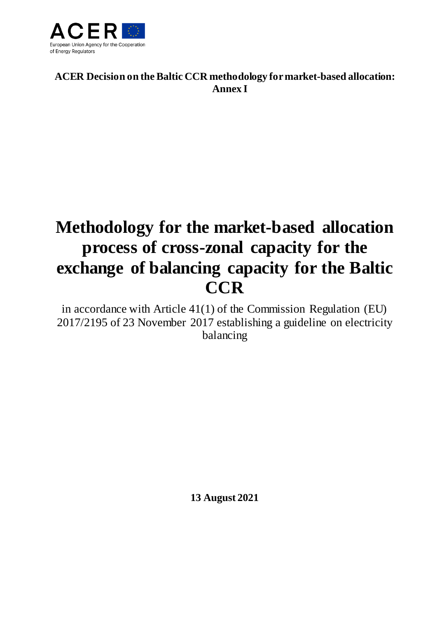

**ACER Decision on the Baltic CCR methodology formarket-based allocation: Annex I**

# **Methodology for the market-based allocation process of cross-zonal capacity for the exchange of balancing capacity for the Baltic CCR**

in accordance with Article 41(1) of the Commission Regulation (EU) 2017/2195 of 23 November 2017 establishing a guideline on electricity balancing

**13 August 2021**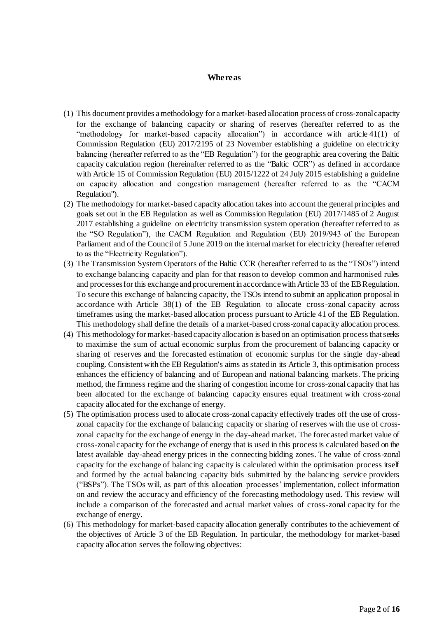#### **Whereas**

- (1) This document provides a methodology for a market-based allocation process of cross-zonal capacity for the exchange of balancing capacity or sharing of reserves (hereafter referred to as the "methodology for market-based capacity allocation") in accordance with article  $41(1)$  of Commission Regulation (EU) 2017/2195 of 23 November establishing a guideline on electricity balancing (hereafter referred to as the "EB Regulation") for the geographic area covering the Baltic capacity calculation region (hereinafter referred to as the "Baltic CCR") as defined in accordance with Article 15 of Commission Regulation (EU) 2015/1222 of 24 July 2015 establishing a guideline on capacity allocation and congestion management (hereafter referred to as the "CACM Regulation").
- (2) The methodology for market-based capacity allocation takes into account the general principles and goals set out in the EB Regulation as well as Commission Regulation (EU) 2017/1485 of 2 August 2017 establishing a guideline on electricity transmission system operation (hereafter referred to as the "SO Regulation"), the CACM Regulation and Regulation (EU) 2019/943 of the European Parliament and of the Council of 5 June 2019 on the internal market for electricity (hereafter referred to as the "Electricity Regulation").
- (3) The Transmission System Operators of the Baltic CCR (hereafter referred to as the "TSOs") intend to exchange balancing capacity and plan for that reason to develop common and harmonised rules and processes for this exchange and procurement in accordance with Article 33 of the EB Regulation. To secure this exchange of balancing capacity, the TSOs intend to submit an application proposal in accordance with Article 38(1) of the EB Regulation to allocate cross-zonal capacity across timeframes using the market-based allocation process pursuant to Article 41 of the EB Regulation. This methodology shall define the details of a market-based cross-zonal capacity allocation process.
- (4) This methodology for market-based capacity allocation is based on an optimisation process that seeks to maximise the sum of actual economic surplus from the procurement of balancing capacity or sharing of reserves and the forecasted estimation of economic surplus for the single day-ahead coupling. Consistent with the EB Regulation's aims as stated in its Article 3, this optimisation process enhances the efficiency of balancing and of European and national balancing markets. The pricing method, the firmness regime and the sharing of congestion income for cross-zonal capacity that has been allocated for the exchange of balancing capacity ensures equal treatment with cross-zonal capacity allocated for the exchange of energy.
- (5) The optimisation process used to allocate cross-zonal capacity effectively trades off the use of crosszonal capacity for the exchange of balancing capacity or sharing of reserves with the use of crosszonal capacity for the exchange of energy in the day-ahead market. The forecasted market value of cross-zonal capacity for the exchange of energy that is used in this process is calculated based on the latest available day-ahead energy prices in the connecting bidding zones. The value of cross-zonal capacity for the exchange of balancing capacity is calculated within the optimisation process itself and formed by the actual balancing capacity bids submitted by the balancing service providers ("BSPs"). The TSOs will, as part of this allocation processes' implementation, collect information on and review the accuracy and efficiency of the forecasting methodology used. This review will include a comparison of the forecasted and actual market values of cross-zonal capacity for the exchange of energy.
- (6) This methodology for market-based capacity allocation generally contributes to the achievement of the objectives of Article 3 of the EB Regulation. In particular, the methodology for market-based capacity allocation serves the following objectives: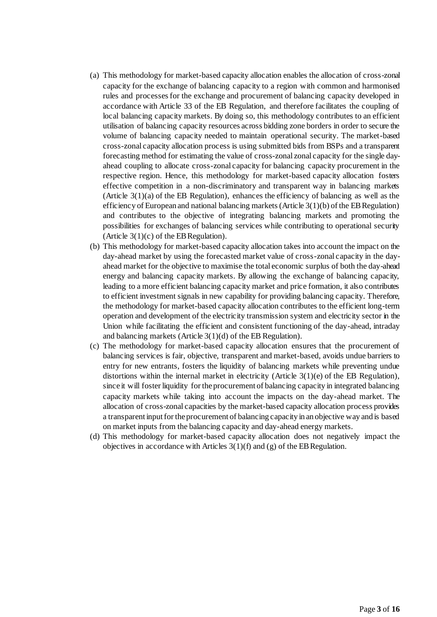- (a) This methodology for market-based capacity allocation enables the allocation of cross-zonal capacity for the exchange of balancing capacity to a region with common and harmonised rules and processes for the exchange and procurement of balancing capacity developed in accordance with Article 33 of the EB Regulation, and therefore facilitates the coupling of local balancing capacity markets. By doing so, this methodology contributes to an efficient utilisation of balancing capacity resources across bidding zone borders in order to secure the volume of balancing capacity needed to maintain operational security. The market-based cross-zonal capacity allocation process is using submitted bids from BSPs and a transparent forecasting method for estimating the value of cross-zonal zonal capacity for the single dayahead coupling to allocate cross-zonal capacity for balancing capacity procurement in the respective region. Hence, this methodology for market-based capacity allocation fosters effective competition in a non-discriminatory and transparent way in balancing markets (Article  $3(1)(a)$  of the EB Regulation), enhances the efficiency of balancing as well as the efficiency of European and national balancing markets (Article  $3(1)(b)$  of the EB Regulation) and contributes to the objective of integrating balancing markets and promoting the possibilities for exchanges of balancing services while contributing to operational security (Article  $3(1)(c)$  of the EB Regulation).
- (b) This methodology for market-based capacity allocation takes into account the impact on the day-ahead market by using the forecasted market value of cross-zonal capacity in the dayahead market for the objective to maximise the total economic surplus of both the day-ahead energy and balancing capacity markets. By allowing the exchange of balancing capacity, leading to a more efficient balancing capacity market and price formation, it also contributes to efficient investment signals in new capability for providing balancing capacity. Therefore, the methodology for market-based capacity allocation contributes to the efficient long-term operation and development of the electricity transmission system and electricity sector in the Union while facilitating the efficient and consistent functioning of the day-ahead, intraday and balancing markets (Article  $3(1)(d)$  of the EB Regulation).
- (c) The methodology for market-based capacity allocation ensures that the procurement of balancing services is fair, objective, transparent and market-based, avoids undue barriers to entry for new entrants, fosters the liquidity of balancing markets while preventing undue distortions within the internal market in electricity (Article  $3(1)(e)$  of the EB Regulation), since it will foster liquidity for the procurement of balancing capacity in integrated balancing capacity markets while taking into account the impacts on the day-ahead market. The allocation of cross-zonal capacities by the market-based capacity allocation process provides a transparent input for the procurement of balancing capacity in an objective way and is based on market inputs from the balancing capacity and day-ahead energy markets.
- (d) This methodology for market-based capacity allocation does not negatively impact the objectives in accordance with Articles 3(1)(f) and (g) of the EB Regulation.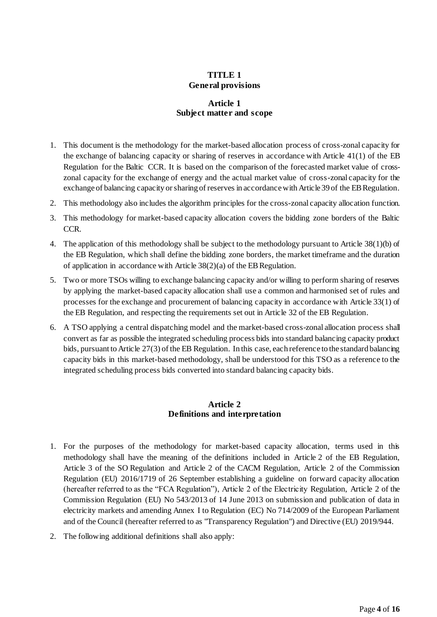## **TITLE 1 General provisions**

#### **Article 1 Subject matter and scope**

- 1. This document is the methodology for the market-based allocation process of cross-zonal capacity for the exchange of balancing capacity or sharing of reserves in accordance with Article 41(1) of the EB Regulation for the Baltic CCR. It is based on the comparison of the forecasted market value of crosszonal capacity for the exchange of energy and the actual market value of cross-zonal capacity for the exchange of balancing capacity or sharing of reserves in accordance with Article 39 of the EB Regulation.
- 2. This methodology also includes the algorithm principles for the cross-zonal capacity allocation function.
- 3. This methodology for market-based capacity allocation covers the bidding zone borders of the Baltic CCR.
- 4. The application of this methodology shall be subject to the methodology pursuant to Article 38(1)(b) of the EB Regulation, which shall define the bidding zone borders, the market timeframe and the duration of application in accordance with Article  $38(2)(a)$  of the EB Regulation.
- 5. Two or more TSOs willing to exchange balancing capacity and/or willing to perform sharing of reserves by applying the market-based capacity allocation shall use a common and harmonised set of rules and processes for the exchange and procurement of balancing capacity in accordance with Article 33(1) of the EB Regulation, and respecting the requirements set out in Article 32 of the EB Regulation.
- 6. A TSO applying a central dispatching model and the market-based cross-zonal allocation process shall convert as far as possible the integrated scheduling process bids into standard balancing capacity product bids, pursuant to Article 27(3) of the EB Regulation. In this case, each reference to the standard balancing capacity bids in this market-based methodology, shall be understood for this TSO as a reference to the integrated scheduling process bids converted into standard balancing capacity bids.

#### **Article 2 Definitions and interpretation**

- 1. For the purposes of the methodology for market-based capacity allocation, terms used in this methodology shall have the meaning of the definitions included in Article 2 of the EB Regulation, Article 3 of the SO Regulation and Article 2 of the CACM Regulation, Article 2 of the Commission Regulation (EU) 2016/1719 of 26 September establishing a guideline on forward capacity allocation (hereafter referred to as the "FCA Regulation"), Article 2 of the Electricity Regulation, Article 2 of the Commission Regulation (EU) No 543/2013 of 14 June 2013 on submission and publication of data in electricity markets and amending Annex I to Regulation (EC) No 714/2009 of the European Parliament and of the Council (hereafter referred to as "Transparency Regulation") and Directive (EU) 2019/944.
- 2. The following additional definitions shall also apply: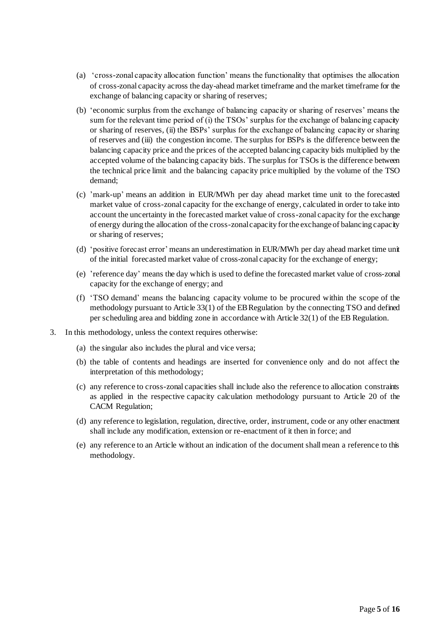- (a) 'cross-zonal capacity allocation function' means the functionality that optimises the allocation of cross-zonal capacity across the day-ahead market timeframe and the market timeframe for the exchange of balancing capacity or sharing of reserves;
- (b) 'economic surplus from the exchange of balancing capacity or sharing of reserves' means the sum for the relevant time period of (i) the TSOs' surplus for the exchange of balancing capacity or sharing of reserves, (ii) the BSPs' surplus for the exchange of balancing capacity or sharing of reserves and (iii) the congestion income. The surplus for BSPs is the difference between the balancing capacity price and the prices of the accepted balancing capacity bids multiplied by the accepted volume of the balancing capacity bids. The surplus for TSOs is the difference between the technical price limit and the balancing capacity price multiplied by the volume of the TSO demand;
- (c) 'mark-up' means an addition in EUR/MWh per day ahead market time unit to the forecasted market value of cross-zonal capacity for the exchange of energy, calculated in order to take into account the uncertainty in the forecasted market value of cross-zonal capacity for the exchange of energy during the allocation of the cross-zonal capacity for the exchange of balancing capacity or sharing of reserves;
- (d) 'positive forecast error' means an underestimation in EUR/MWh per day ahead market time unit of the initial forecasted market value of cross-zonal capacity for the exchange of energy;
- (e) 'reference day' means the day which is used to define the forecasted market value of cross-zonal capacity for the exchange of energy; and
- (f) 'TSO demand' means the balancing capacity volume to be procured within the scope of the methodology pursuant to Article 33(1) of the EB Regulation by the connecting TSO and defined per scheduling area and bidding zone in accordance with Article 32(1) of the EB Regulation.
- 3. In this methodology, unless the context requires otherwise:
	- (a) the singular also includes the plural and vice versa;
	- (b) the table of contents and headings are inserted for convenience only and do not affect the interpretation of this methodology;
	- (c) any reference to cross-zonal capacities shall include also the reference to allocation constraints as applied in the respective capacity calculation methodology pursuant to Article 20 of the CACM Regulation;
	- (d) any reference to legislation, regulation, directive, order, instrument, code or any other enactment shall include any modification, extension or re-enactment of it then in force; and
	- (e) any reference to an Article without an indication of the document shall mean a reference to this methodology.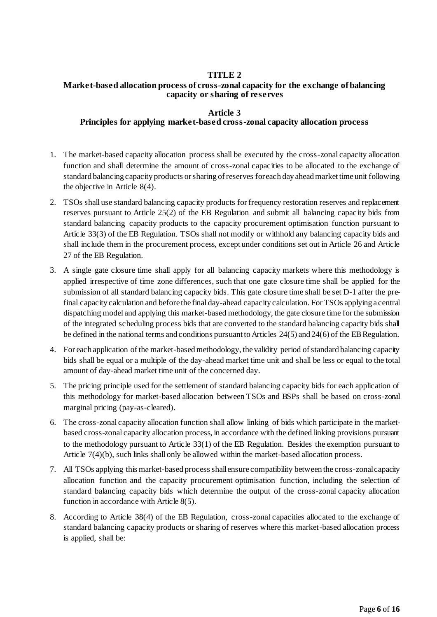## **TITLE 2**

## **Market-based allocation process of cross-zonal capacity for the exchange of balancing capacity or sharing of reserves**

## **Article 3**

### **Principles for applying market-based cross-zonal capacity allocation process**

- 1. The market-based capacity allocation process shall be executed by the cross-zonal capacity allocation function and shall determine the amount of cross-zonal capacities to be allocated to the exchange of standard balancing capacity products or sharing of reserves for each day ahead market time unit following the objective in Article 8(4).
- 2. TSOs shall use standard balancing capacity products for frequency restoration reserves and replacement reserves pursuant to Article 25(2) of the EB Regulation and submit all balancing capac ity bids from standard balancing capacity products to the capacity procurement optimisation function pursuant to Article 33(3) of the EB Regulation. TSOs shall not modify or withhold any balancing capacity bids and shall include them in the procurement process, except under conditions set out in Article 26 and Article 27 of the EB Regulation.
- 3. A single gate closure time shall apply for all balancing capacity markets where this methodology is applied irrespective of time zone differences, such that one gate closure time shall be applied for the submission of all standard balancing capacity bids. This gate closure time shall be set D-1 after the prefinal capacity calculation and before the final day-ahead capacity calculation. For TSOs applying a central dispatching model and applying this market-based methodology, the gate closure time for the submission of the integrated scheduling process bids that are converted to the standard balancing capacity bids shall be defined in the national terms and conditions pursuant to Articles 24(5) and 24(6) of the EB Regulation.
- 4. For each application of the market-based methodology, the validity period of standard balancing capacity bids shall be equal or a multiple of the day-ahead market time unit and shall be less or equal to the total amount of day-ahead market time unit of the concerned day.
- 5. The pricing principle used for the settlement of standard balancing capacity bids for each application of this methodology for market-based allocation between TSOs and BSPs shall be based on cross-zonal marginal pricing (pay-as-cleared).
- 6. The cross-zonal capacity allocation function shall allow linking of bids which participate in the marketbased cross-zonal capacity allocation process, in accordance with the defined linking provisions pursuant to the methodology pursuant to Article 33(1) of the EB Regulation. Besides the exemption pursuant to Article 7(4)(b), such links shall only be allowed within the market-based allocation process.
- 7. All TSOs applying this market-based process shall ensure compatibility between the cross-zonal capacity allocation function and the capacity procurement optimisation function, including the selection of standard balancing capacity bids which determine the output of the cross-zonal capacity allocation function in accordance with Article 8(5).
- 8. According to Article 38(4) of the EB Regulation, cross-zonal capacities allocated to the exchange of standard balancing capacity products or sharing of reserves where this market-based allocation process is applied, shall be: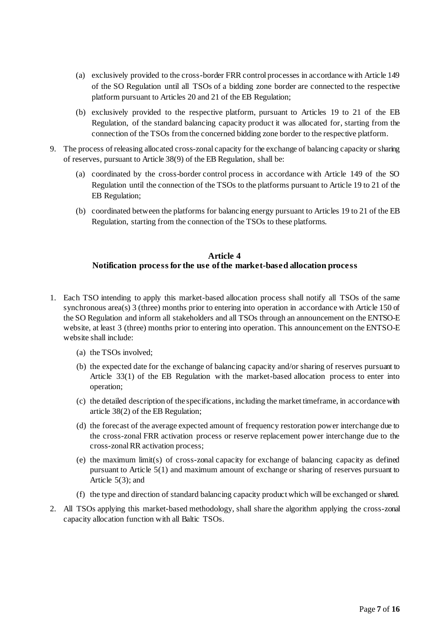- (a) exclusively provided to the cross-border FRR control processes in accordance with Article 149 of the SO Regulation until all TSOs of a bidding zone border are connected to the respective platform pursuant to Articles 20 and 21 of the EB Regulation;
- (b) exclusively provided to the respective platform, pursuant to Articles 19 to 21 of the EB Regulation, of the standard balancing capacity product it was allocated for, starting from the connection of the TSOs from the concerned bidding zone border to the respective platform.
- 9. The process of releasing allocated cross-zonal capacity for the exchange of balancing capacity or sharing of reserves, pursuant to Article 38(9) of the EB Regulation, shall be:
	- (a) coordinated by the cross-border control process in accordance with Article 149 of the SO Regulation until the connection of the TSOs to the platforms pursuant to Article 19 to 21 of the EB Regulation;
	- (b) coordinated between the platforms for balancing energy pursuant to Articles 19 to 21 of the EB Regulation, starting from the connection of the TSOs to these platforms.

## **Article 4 Notification process for the use of the market-based allocation process**

- 1. Each TSO intending to apply this market-based allocation process shall notify all TSOs of the same synchronous area(s) 3 (three) months prior to entering into operation in accordance with Article 150 of the SO Regulation and inform all stakeholders and all TSOs through an announcement on the ENTSO-E website, at least 3 (three) months prior to entering into operation. This announcement on the ENTSO-E website shall include:
	- (a) the TSOs involved;
	- (b) the expected date for the exchange of balancing capacity and/or sharing of reserves pursuant to Article 33(1) of the EB Regulation with the market-based allocation process to enter into operation;
	- (c) the detailed description of the specifications, including the market timeframe, in accordance with article 38(2) of the EB Regulation;
	- (d) the forecast of the average expected amount of frequency restoration power interchange due to the cross-zonal FRR activation process or reserve replacement power interchange due to the cross-zonal RR activation process;
	- (e) the maximum limit(s) of cross-zonal capacity for exchange of balancing capacity as defined pursuant to Article 5(1) and maximum amount of exchange or sharing of reserves pursuant to Article 5(3); and
	- (f) the type and direction of standard balancing capacity product which will be exchanged or shared.
- 2. All TSOs applying this market-based methodology, shall share the algorithm applying the cross-zonal capacity allocation function with all Baltic TSOs.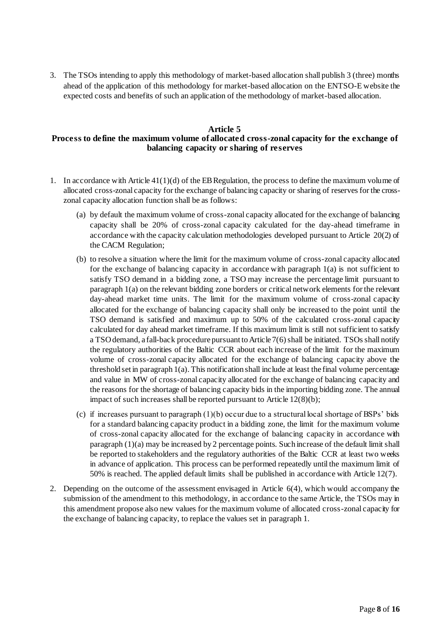3. The TSOs intending to apply this methodology of market-based allocation shall publish 3 (three) months ahead of the application of this methodology for market-based allocation on the ENTSO-E website the expected costs and benefits of such an application of the methodology of market-based allocation.

## **Article 5 Process to define the maximum volume of allocated cross-zonal capacity for the exchange of balancing capacity or sharing of reserves**

- 1. In accordance with Article 41(1)(d) of the EB Regulation, the process to define the maximum volume of allocated cross-zonal capacity for the exchange of balancing capacity or sharing of reserves for the crosszonal capacity allocation function shall be as follows:
	- (a) by default the maximum volume of cross-zonal capacity allocated for the exchange of balancing capacity shall be 20% of cross-zonal capacity calculated for the day-ahead timeframe in accordance with the capacity calculation methodologies developed pursuant to Article 20(2) of the CACM Regulation;
	- (b) to resolve a situation where the limit for the maximum volume of cross-zonal capacity allocated for the exchange of balancing capacity in accordance with paragraph  $1(a)$  is not sufficient to satisfy TSO demand in a bidding zone, a TSO may increase the percentage limit pursuant to paragraph 1(a) on the relevant bidding zone borders or critical network elements for the relevant day-ahead market time units. The limit for the maximum volume of cross-zonal capacity allocated for the exchange of balancing capacity shall only be increased to the point until the TSO demand is satisfied and maximum up to 50% of the calculated cross-zonal capacity calculated for day ahead market timeframe. If this maximum limit is still not sufficient to satisfy a TSO demand, a fall-back procedure pursuant to Article 7(6) shall be initiated. TSOs shall notify the regulatory authorities of the Baltic CCR about each increase of the limit for the maximum volume of cross-zonal capacity allocated for the exchange of balancing capacity above the threshold set in paragraph 1(a). This notification shall include at least the final volume percentage and value in MW of cross-zonal capacity allocated for the exchange of balancing capacity and the reasons for the shortage of balancing capacity bids in the importing bidding zone. The annual impact of such increases shall be reported pursuant to Article 12(8)(b);
	- (c) if increases pursuant to paragraph (1)(b) occur due to a structural local shortage of BSPs' bids for a standard balancing capacity product in a bidding zone, the limit for the maximum volume of cross-zonal capacity allocated for the exchange of balancing capacity in accordance with paragraph  $(1)(a)$  may be increased by 2 percentage points. Such increase of the default limit shall be reported to stakeholders and the regulatory authorities of the Baltic CCR at least two weeks in advance of application. This process can be performed repeatedly until the maximum limit of 50% is reached. The applied default limits shall be published in accordance with Article 12(7).
- 2. Depending on the outcome of the assessment envisaged in Article 6(4), which would accompany the submission of the amendment to this methodology, in accordance to the same Article, the TSOs may in this amendment propose also new values for the maximum volume of allocated cross-zonal capacity for the exchange of balancing capacity, to replace the values set in paragraph 1.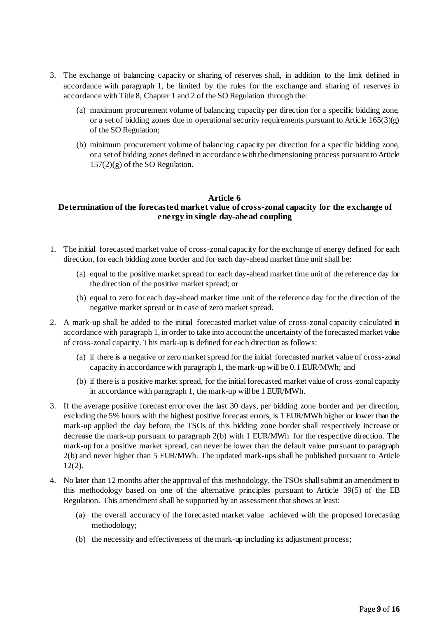- 3. The exchange of balancing capacity or sharing of reserves shall, in addition to the limit defined in accordance with paragraph 1, be limited by the rules for the exchange and sharing of reserves in accordance with Title 8, Chapter 1 and 2 of the SO Regulation through the:
	- (a) maximum procurement volume of balancing capacity per direction for a specific bidding zone, or a set of bidding zones due to operational security requirements pursuant to Article 165(3)(g) of the SO Regulation;
	- (b) minimum procurement volume of balancing capacity per direction for a specific bidding zone, or a set of bidding zones defined in accordance with the dimensioning process pursuant to Article  $157(2)(g)$  of the SO Regulation.

#### **Article 6**

## **Determination of the forecasted market value of cross-zonal capacity for the exchange of energy in single day-ahead coupling**

- 1. The initial forecasted market value of cross-zonal capacity for the exchange of energy defined for each direction, for each bidding zone border and for each day-ahead market time unit shall be:
	- (a) equal to the positive market spread for each day-ahead market time unit of the reference day for the direction of the positive market spread; or
	- (b) equal to zero for each day-ahead market time unit of the reference day for the direction of the negative market spread or in case of zero market spread.
- 2. A mark-up shall be added to the initial forecasted market value of cross-zonal capacity calculated in accordance with paragraph 1, in order to take into account the uncertainty of the forecasted market value of cross-zonal capacity. This mark-up is defined for each direction as follows:
	- (a) if there is a negative or zero market spread for the initial forecasted market value of cross-zonal capacity in accordance with paragraph 1, the mark-up will be 0.1 EUR/MWh; and
	- (b) if there is a positive market spread, for the initial forecasted market value of cross-zonal capacity in accordance with paragraph 1, the mark-up will be 1 EUR/MWh.
- 3. If the average positive forecast error over the last 30 days, per bidding zone border and per direction, excluding the 5% hours with the highest positive forecast errors, is 1 EUR/MWh higher or lower than the mark-up applied the day before, the TSOs of this bidding zone border shall respectively increase or decrease the mark-up pursuant to paragraph 2(b) with 1 EUR/MWh for the respective direction. The mark-up for a positive market spread, can never be lower than the default value pursuant to paragraph 2(b) and never higher than 5 EUR/MWh. The updated mark-ups shall be published pursuant to Article 12(2).
- 4. No later than 12 months after the approval of this methodology, the TSOs shall submit an amendment to this methodology based on one of the alternative principles pursuant to Article 39(5) of the EB Regulation. This amendment shall be supported by an assessment that shows at least:
	- (a) the overall accuracy of the forecasted market value achieved with the proposed forecasting methodology;
	- (b) the necessity and effectiveness of the mark-up including its adjustment process;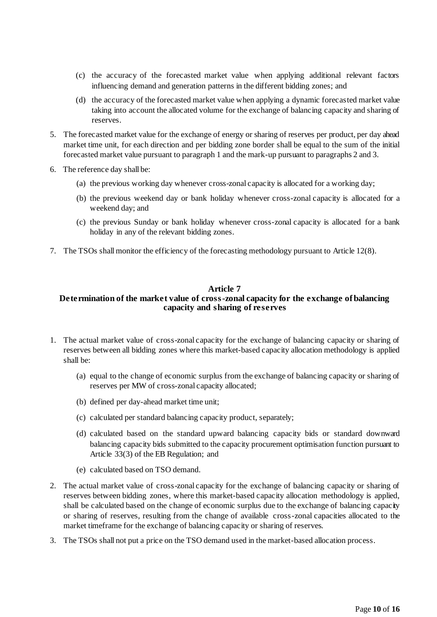- (c) the accuracy of the forecasted market value when applying additional relevant factors influencing demand and generation patterns in the different bidding zones; and
- (d) the accuracy of the forecasted market value when applying a dynamic forecasted market value taking into account the allocated volume for the exchange of balancing capacity and sharing of reserves.
- 5. The forecasted market value for the exchange of energy or sharing of reserves per product, per day ahead market time unit, for each direction and per bidding zone border shall be equal to the sum of the initial forecasted market value pursuant to paragraph 1 and the mark-up pursuant to paragraphs 2 and 3.
- 6. The reference day shall be:
	- (a) the previous working day whenever cross-zonal capacity is allocated for a working day;
	- (b) the previous weekend day or bank holiday whenever cross-zonal capacity is allocated for a weekend day; and
	- (c) the previous Sunday or bank holiday whenever cross-zonal capacity is allocated for a bank holiday in any of the relevant bidding zones.
- 7. The TSOs shall monitor the efficiency of the forecasting methodology pursuant to Article 12(8).

#### **Article 7**

## **Determination of the market value of cross-zonal capacity for the exchange of balancing capacity and sharing of reserves**

- 1. The actual market value of cross-zonal capacity for the exchange of balancing capacity or sharing of reserves between all bidding zones where this market-based capacity allocation methodology is applied shall be:
	- (a) equal to the change of economic surplus from the exchange of balancing capacity or sharing of reserves per MW of cross-zonal capacity allocated;
	- (b) defined per day-ahead market time unit;
	- (c) calculated per standard balancing capacity product, separately;
	- (d) calculated based on the standard upward balancing capacity bids or standard downward balancing capacity bids submitted to the capacity procurement optimisation function pursuant to Article 33(3) of the EB Regulation; and
	- (e) calculated based on TSO demand.
- 2. The actual market value of cross-zonal capacity for the exchange of balancing capacity or sharing of reserves between bidding zones, where this market-based capacity allocation methodology is applied, shall be calculated based on the change of economic surplus due to the exchange of balancing capacity or sharing of reserves, resulting from the change of available cross-zonal capacities allocated to the market timeframe for the exchange of balancing capacity or sharing of reserves.
- 3. The TSOs shall not put a price on the TSO demand used in the market-based allocation process.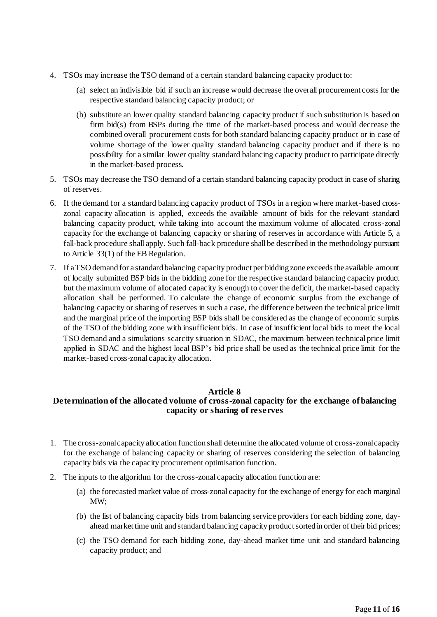- 4. TSOs may increase the TSO demand of a certain standard balancing capacity product to:
	- (a) select an indivisible bid if such an increase would decrease the overall procurement costs for the respective standard balancing capacity product; or
	- (b) substitute an lower quality standard balancing capacity product if such substitution is based on firm bid(s) from BSPs during the time of the market-based process and would decrease the combined overall procurement costs for both standard balancing capacity product or in case of volume shortage of the lower quality standard balancing capacity product and if there is no possibility for a similar lower quality standard balancing capacity product to participate directly in the market-based process.
- 5. TSOs may decrease the TSO demand of a certain standard balancing capacity product in case of sharing of reserves.
- 6. If the demand for a standard balancing capacity product of TSOs in a region where market-based crosszonal capacity allocation is applied, exceeds the available amount of bids for the relevant standard balancing capacity product, while taking into account the maximum volume of allocated cross-zonal capacity for the exchange of balancing capacity or sharing of reserves in accordance with Article 5, a fall-back procedure shall apply. Such fall-back procedure shall be described in the methodology pursuant to Article 33(1) of the EB Regulation.
- 7. If a TSO demand for a standard balancing capacity product per bidding zone exceeds the available amount of locally submitted BSP bids in the bidding zone for the respective standard balancing capacity product but the maximum volume of allocated capacity is enough to cover the deficit, the market-based capacity allocation shall be performed. To calculate the change of economic surplus from the exchange of balancing capacity or sharing of reserves in such a case, the difference between the technical price limit and the marginal price of the importing BSP bids shall be considered as the change of economic surplus of the TSO of the bidding zone with insufficient bids. In case of insufficient local bids to meet the local TSO demand and a simulations scarcity situation in SDAC, the maximum between technical price limit applied in SDAC and the highest local BSP's bid price shall be used as the technical price limit for the market-based cross-zonal capacity allocation.

#### **Article 8**

## **Determination of the allocated volume of cross-zonal capacity for the exchange of balancing capacity or sharing of reserves**

- 1. The cross-zonal capacity allocation function shall determine the allocated volume of cross-zonal capacity for the exchange of balancing capacity or sharing of reserves considering the selection of balancing capacity bids via the capacity procurement optimisation function.
- 2. The inputs to the algorithm for the cross-zonal capacity allocation function are:
	- (a) the forecasted market value of cross-zonal capacity for the exchange of energy for each marginal MW;
	- (b) the list of balancing capacity bids from balancing service providers for each bidding zone, dayahead market time unit and standard balancing capacity product sorted in order of their bid prices;
	- (c) the TSO demand for each bidding zone, day-ahead market time unit and standard balancing capacity product; and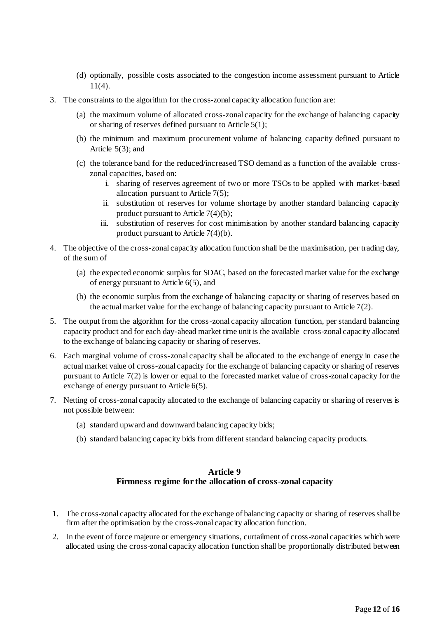- (d) optionally, possible costs associated to the congestion income assessment pursuant to Article 11(4).
- 3. The constraints to the algorithm for the cross-zonal capacity allocation function are:
	- (a) the maximum volume of allocated cross-zonal capacity for the exchange of balancing capacity or sharing of reserves defined pursuant to Article 5(1);
	- (b) the minimum and maximum procurement volume of balancing capacity defined pursuant to Article  $5(3)$ ; and
	- (c) the tolerance band for the reduced/increased TSO demand as a function of the available crosszonal capacities, based on:
		- i. sharing of reserves agreement of two or more TSOs to be applied with market-based allocation pursuant to Article  $7(5)$ ;
		- ii. substitution of reserves for volume shortage by another standard balancing capacity product pursuant to Article  $7(4)(b)$ ;
		- iii. substitution of reserves for cost minimisation by another standard balancing capacity product pursuant to Article  $7(4)(b)$ .
- 4. The objective of the cross-zonal capacity allocation function shall be the maximisation, per trading day, of the sum of
	- (a) the expected economic surplus for SDAC, based on the forecasted market value for the exchange of energy pursuant to Article 6(5), and
	- (b) the economic surplus from the exchange of balancing capacity or sharing of reserves based on the actual market value for the exchange of balancing capacity pursuant to Article  $7(2)$ .
- 5. The output from the algorithm for the cross-zonal capacity allocation function, per standard balancing capacity product and for each day-ahead market time unit is the available cross-zonal capacity allocated to the exchange of balancing capacity or sharing of reserves.
- 6. Each marginal volume of cross-zonal capacity shall be allocated to the exchange of energy in case the actual market value of cross-zonal capacity for the exchange of balancing capacity or sharing of reserves pursuant to Article 7(2) is lower or equal to the forecasted market value of cross-zonal capacity for the exchange of energy pursuant to Article 6(5).
- 7. Netting of cross-zonal capacity allocated to the exchange of balancing capacity or sharing of reserves is not possible between:
	- (a) standard upward and downward balancing capacity bids;
	- (b) standard balancing capacity bids from different standard balancing capacity products.

## **Article 9 Firmness regime for the allocation of cross-zonal capacity**

- 1. The cross-zonal capacity allocated for the exchange of balancing capacity or sharing of reserves shall be firm after the optimisation by the cross-zonal capacity allocation function.
- 2. In the event of force majeure or emergency situations, curtailment of cross-zonal capacities which were allocated using the cross-zonal capacity allocation function shall be proportionally distributed between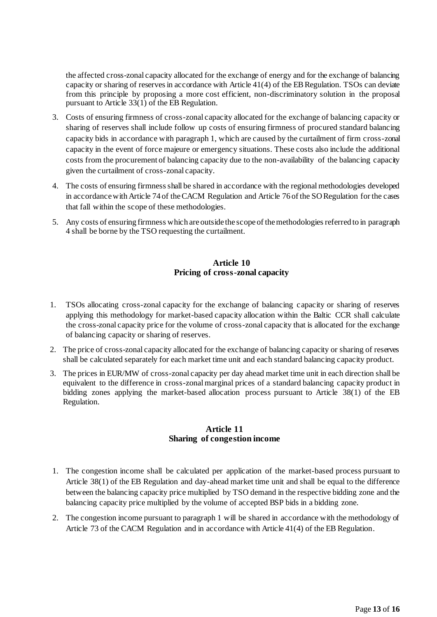the affected cross-zonal capacity allocated for the exchange of energy and for the exchange of balancing capacity or sharing of reserves in accordance with Article 41(4) of the EBRegulation. TSOs can deviate from this principle by proposing a more cost efficient, non-discriminatory solution in the proposal pursuant to Article 33(1) of the EB Regulation.

- 3. Costs of ensuring firmness of cross-zonal capacity allocated for the exchange of balancing capacity or sharing of reserves shall include follow up costs of ensuring firmness of procured standard balancing capacity bids in accordance with paragraph 1, which are caused by the curtailment of firm cross-zonal capacity in the event of force majeure or emergency situations. These costs also include the additional costs from the procurement of balancing capacity due to the non-availability of the balancing capacity given the curtailment of cross-zonal capacity.
- 4. The costs of ensuring firmness shall be shared in accordance with the regional methodologies developed in accordance with Article 74 of the CACM Regulation and Article 76 of the SO Regulation for the cases that fall within the scope of these methodologies.
- 5. Any costs of ensuring firmness which are outside the scope of the methodologies referred to in paragraph 4 shall be borne by the TSO requesting the curtailment.

## **Article 10 Pricing of cross-zonal capacity**

- 1. TSOs allocating cross-zonal capacity for the exchange of balancing capacity or sharing of reserves applying this methodology for market-based capacity allocation within the Baltic CCR shall calculate the cross-zonal capacity price for the volume of cross-zonal capacity that is allocated for the exchange of balancing capacity or sharing of reserves.
- 2. The price of cross-zonal capacity allocated for the exchange of balancing capacity or sharing of reserves shall be calculated separately for each market time unit and each standard balancing capacity product.
- 3. The prices in EUR/MW of cross-zonal capacity per day ahead market time unit in each direction shall be equivalent to the difference in cross-zonal marginal prices of a standard balancing capacity product in bidding zones applying the market-based allocation process pursuant to Article 38(1) of the EB Regulation.

## **Article 11 Sharing of congestion income**

- 1. The congestion income shall be calculated per application of the market-based process pursuant to Article 38(1) of the EB Regulation and day-ahead market time unit and shall be equal to the difference between the balancing capacity price multiplied by TSO demand in the respective bidding zone and the balancing capacity price multiplied by the volume of accepted BSP bids in a bidding zone.
- 2. The congestion income pursuant to paragraph 1 will be shared in accordance with the methodology of Article 73 of the CACM Regulation and in accordance with Article 41(4) of the EB Regulation.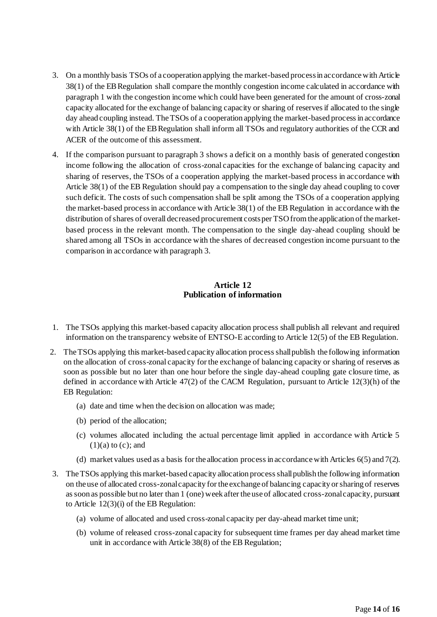- 3. On a monthly basis TSOs of a cooperation applying the market-based process in accordance with Article 38(1) of the EB Regulation shall compare the monthly congestion income calculated in accordance with paragraph 1 with the congestion income which could have been generated for the amount of cross-zonal capacity allocated for the exchange of balancing capacity or sharing of reserves if allocated to the single day ahead coupling instead. The TSOs of a cooperation applying the market-based process in accordance with Article 38(1) of the EB Regulation shall inform all TSOs and regulatory authorities of the CCR and ACER of the outcome of this assessment.
- 4. If the comparison pursuant to paragraph 3 shows a deficit on a monthly basis of generated congestion income following the allocation of cross-zonal capacities for the exchange of balancing capacity and sharing of reserves, the TSOs of a cooperation applying the market-based process in accordance with Article 38(1) of the EB Regulation should pay a compensation to the single day ahead coupling to cover such deficit. The costs of such compensation shall be split among the TSOs of a cooperation applying the market-based process in accordance with Article 38(1) of the EB Regulation in accordance with the distribution of shares of overall decreased procurement costs per TSO from the application of the marketbased process in the relevant month. The compensation to the single day-ahead coupling should be shared among all TSOs in accordance with the shares of decreased congestion income pursuant to the comparison in accordance with paragraph 3.

## **Article 12 Publication of information**

- 1. The TSOs applying this market-based capacity allocation process shall publish all relevant and required information on the transparency website of ENTSO-E according to Article 12(5) of the EB Regulation.
- 2. The TSOs applying this market-based capacity allocation process shall publish the following information on the allocation of cross-zonal capacity for the exchange of balancing capacity or sharing of reserves as soon as possible but no later than one hour before the single day-ahead coupling gate closure time, as defined in accordance with Article 47(2) of the CACM Regulation, pursuant to Article 12(3)(h) of the EB Regulation:
	- (a) date and time when the decision on allocation was made;
	- (b) period of the allocation;
	- (c) volumes allocated including the actual percentage limit applied in accordance with Article 5  $(1)(a)$  to  $(c)$ ; and
	- (d) market values used as a basis for the allocation process in accordance with Articles 6(5) and 7(2).
- 3. The TSOs applying this market-based capacity allocation process shall publish the following information on the use of allocated cross-zonal capacity for the exchange of balancing capacity or sharing of reserves as soon as possible but no later than 1 (one) week after the use of allocated cross-zonal capacity, pursuant to Article 12(3)(i) of the EB Regulation:
	- (a) volume of allocated and used cross-zonal capacity per day-ahead market time unit;
	- (b) volume of released cross-zonal capacity for subsequent time frames per day ahead market time unit in accordance with Article 38(8) of the EB Regulation;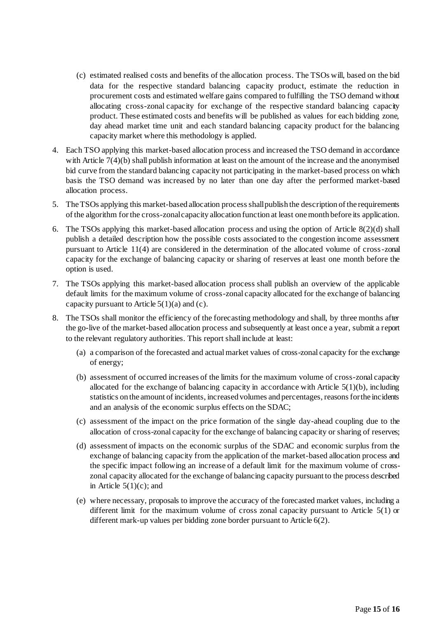- (c) estimated realised costs and benefits of the allocation process. The TSOs will, based on the bid data for the respective standard balancing capacity product, estimate the reduction in procurement costs and estimated welfare gains compared to fulfilling the TSO demand without allocating cross-zonal capacity for exchange of the respective standard balancing capacity product. These estimated costs and benefits will be published as values for each bidding zone, day ahead market time unit and each standard balancing capacity product for the balancing capacity market where this methodology is applied.
- 4. Each TSO applying this market-based allocation process and increased the TSO demand in accordance with Article 7(4)(b) shall publish information at least on the amount of the increase and the anonymised bid curve from the standard balancing capacity not participating in the market-based process on which basis the TSO demand was increased by no later than one day after the performed market-based allocation process.
- 5. The TSOs applying this market-based allocation process shall publish the description of the requirements of the algorithm for the cross-zonal capacity allocation function at least one month before its application.
- 6. The TSOs applying this market-based allocation process and using the option of Article 8(2)(d) shall publish a detailed description how the possible costs associated to the congestion income assessment pursuant to Article 11(4) are considered in the determination of the allocated volume of cross-zonal capacity for the exchange of balancing capacity or sharing of reserves at least one month before the option is used.
- 7. The TSOs applying this market-based allocation process shall publish an overview of the applicable default limits for the maximum volume of cross-zonal capacity allocated for the exchange of balancing capacity pursuant to Article  $5(1)(a)$  and (c).
- 8. The TSOs shall monitor the efficiency of the forecasting methodology and shall, by three months after the go-live of the market-based allocation process and subsequently at least once a year, submit a report to the relevant regulatory authorities. This report shall include at least:
	- (a) a comparison of the forecasted and actual market values of cross-zonal capacity for the exchange of energy;
	- (b) assessment of occurred increases of the limits for the maximum volume of cross-zonal capacity allocated for the exchange of balancing capacity in accordance with Article  $5(1)(b)$ , including statistics on the amount of incidents, increased volumes and percentages, reasons for the incidents and an analysis of the economic surplus effects on the SDAC;
	- (c) assessment of the impact on the price formation of the single day-ahead coupling due to the allocation of cross-zonal capacity for the exchange of balancing capacity or sharing of reserves;
	- (d) assessment of impacts on the economic surplus of the SDAC and economic surplus from the exchange of balancing capacity from the application of the market-based allocation process and the specific impact following an increase of a default limit for the maximum volume of crosszonal capacity allocated for the exchange of balancing capacity pursuant to the process described in Article  $5(1)(c)$ ; and
	- (e) where necessary, proposals to improve the accuracy of the forecasted market values, including a different limit for the maximum volume of cross zonal capacity pursuant to Article 5(1) or different mark-up values per bidding zone border pursuant to Article 6(2).